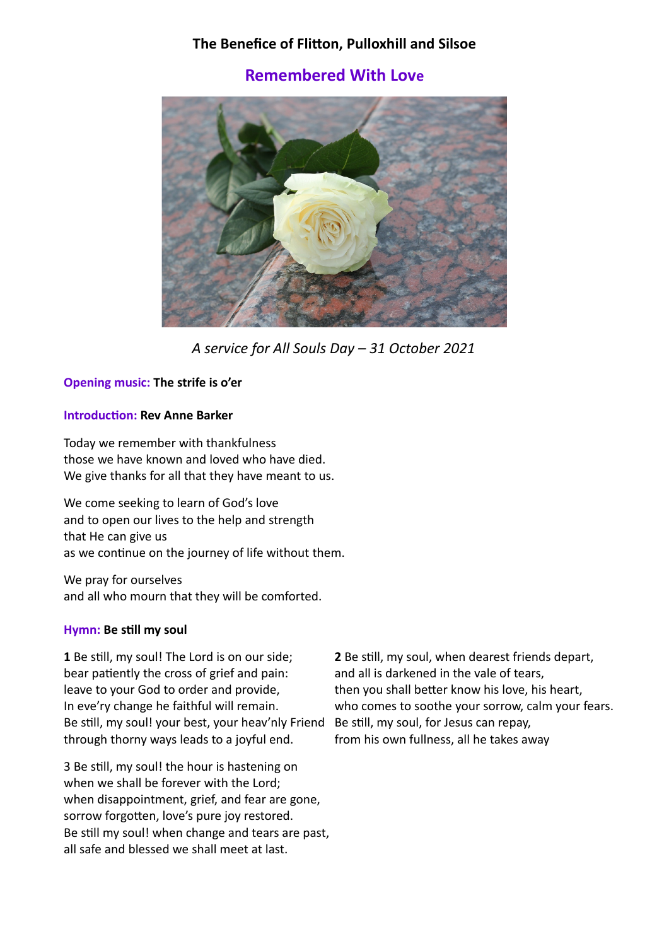# **The Benefice of Flitton, Pulloxhill and Silsoe**

# **Remembered With Love**



*A service for All Souls Day – 31 October 2021*

# **Opening music: The strife is o'er**

# **Introduction: Rev Anne Barker**

Today we remember with thankfulness those we have known and loved who have died. We give thanks for all that they have meant to us.

We come seeking to learn of God's love and to open our lives to the help and strength that He can give us as we continue on the journey of life without them.

We pray for ourselves and all who mourn that they will be comforted.

# **Hymn: Be still my soul**

**1** Be still, my soul! The Lord is on our side; bear patiently the cross of grief and pain: leave to your God to order and provide, In eve'ry change he faithful will remain. Be still, my soul! your best, your heav'nly Friend Be still, my soul, for Jesus can repay, through thorny ways leads to a joyful end.

3 Be still, my soul! the hour is hastening on when we shall be forever with the Lord; when disappointment, grief, and fear are gone, sorrow forgotten, love's pure joy restored. Be still my soul! when change and tears are past, all safe and blessed we shall meet at last.

**2** Be still, my soul, when dearest friends depart, and all is darkened in the vale of tears, then you shall better know his love, his heart, who comes to soothe your sorrow, calm your fears. from his own fullness, all he takes away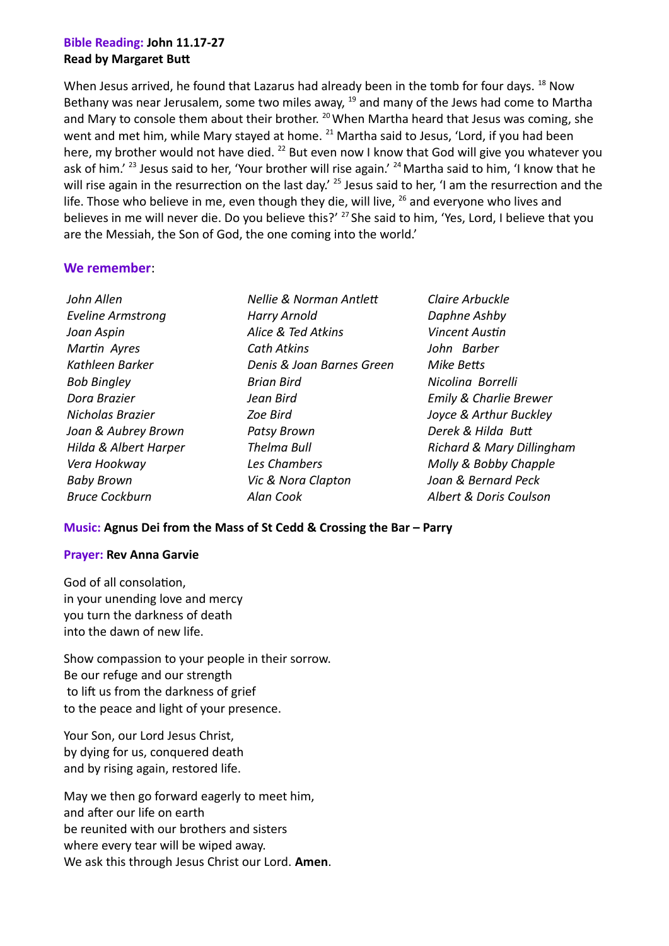# **Bible Reading: John 11.17-27 Read by Margaret Butt**

When Jesus arrived, he found that Lazarus had already been in the tomb for four days. <sup>18</sup> Now Bethany was near Jerusalem, some two miles away,  $19$  and many of the Jews had come to Martha and Mary to console them about their brother. <sup>20</sup> When Martha heard that Jesus was coming, she went and met him, while Mary stayed at home. <sup>21</sup> Martha said to Jesus, 'Lord, if you had been here, my brother would not have died. <sup>22</sup> But even now I know that God will give you whatever you ask of him.<sup>' 23</sup> Jesus said to her, 'Your brother will rise again.' <sup>24</sup> Martha said to him, 'I know that he will rise again in the resurrection on the last day.<sup>' 25</sup> Jesus said to her, 'I am the resurrection and the life. Those who believe in me, even though they die, will live,  $26$  and everyone who lives and believes in me will never die. Do you believe this?' <sup>27</sup> She said to him, 'Yes, Lord, I believe that you are the Messiah, the Son of God, the one coming into the world.'

# **We remember**:

*John Allen Eveline Armstrong Joan Aspin Martin Ayres Kathleen Barker Bob Bingley Dora Brazier Nicholas Brazier Joan & Aubrey Brown Hilda & Albert Harper Vera Hookway Baby Brown Bruce Cockburn*

- *Nellie & Norman Antlett Harry Arnold Alice & Ted Atkins Cath Atkins Denis & Joan Barnes Green Brian Bird Jean Bird Zoe Bird Patsy Brown Thelma Bull Les Chambers Vic & Nora Clapton Alan Cook*
- *Claire Arbuckle Daphne Ashby Vincent Austin John Barber Mike Betts Nicolina Borrelli Emily & Charlie Brewer Joyce & Arthur Buckley Derek & Hilda Butt Richard & Mary Dillingham Molly & Bobby Chapple Joan & Bernard Peck Albert & Doris Coulson*

# **Music: Agnus Dei from the Mass of St Cedd & Crossing the Bar – Parry**

# **Prayer: Rev Anna Garvie**

God of all consolation, in your unending love and mercy you turn the darkness of death into the dawn of new life.

Show compassion to your people in their sorrow. Be our refuge and our strength to lift us from the darkness of grief to the peace and light of your presence.

Your Son, our Lord Jesus Christ, by dying for us, conquered death and by rising again, restored life.

May we then go forward eagerly to meet him, and after our life on earth be reunited with our brothers and sisters where every tear will be wiped away. We ask this through Jesus Christ our Lord. **Amen**.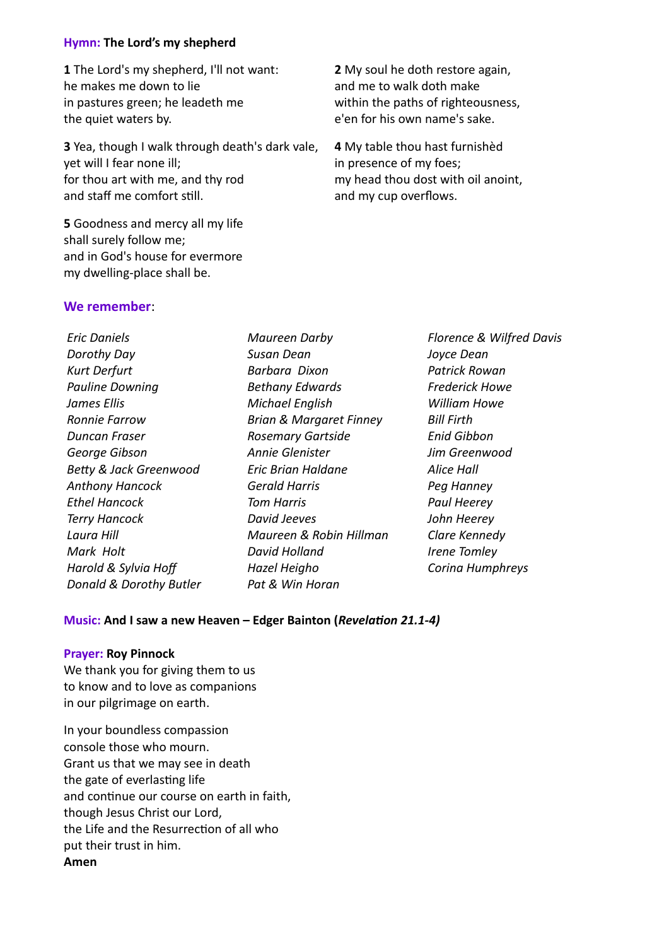# **Hymn: The Lord's my shepherd**

**1** The Lord's my shepherd, I'll not want: he makes me down to lie in pastures green; he leadeth me the quiet waters by.

**3** Yea, though I walk through death's dark vale, yet will I fear none ill; for thou art with me, and thy rod and staff me comfort still.

**5** Goodness and mercy all my life shall surely follow me; and in God's house for evermore my dwelling-place shall be.

#### **We remember**:

*Eric Daniels Dorothy Day Kurt Derfurt Pauline Downing James Ellis Ronnie Farrow Duncan Fraser George Gibson Betty & Jack Greenwood Anthony Hancock Ethel Hancock Terry Hancock Laura Hill Mark Holt Harold & Sylvia Hoff Donald & Dorothy Butler*

*Maureen Darby Susan Dean Barbara Dixon Bethany Edwards Michael English Brian & Margaret Finney Rosemary Gartside Annie Glenister Eric Brian Haldane Gerald Harris Tom Harris David Jeeves Maureen & Robin Hillman David Holland Hazel Heigho Pat & Win Horan*

**2** My soul he doth restore again, and me to walk doth make within the paths of righteousness, e'en for his own name's sake.

**4** My table thou hast furnishèd in presence of my foes; my head thou dost with oil anoint, and my cup overflows.

> *Florence & Wilfred Davis Joyce Dean Patrick Rowan Frederick Howe William Howe Bill Firth Enid Gibbon Jim Greenwood Alice Hall Peg Hanney Paul Heerey John Heerey Clare Kennedy Irene Tomley Corina Humphreys*

#### **Music: And I saw a new Heaven – Edger Bainton (***Revelation 21.1-4)*

#### **Prayer: Roy Pinnock**

We thank you for giving them to us to know and to love as companions in our pilgrimage on earth.

In your boundless compassion console those who mourn. Grant us that we may see in death the gate of everlasting life and continue our course on earth in faith, though Jesus Christ our Lord, the Life and the Resurrection of all who put their trust in him. **Amen**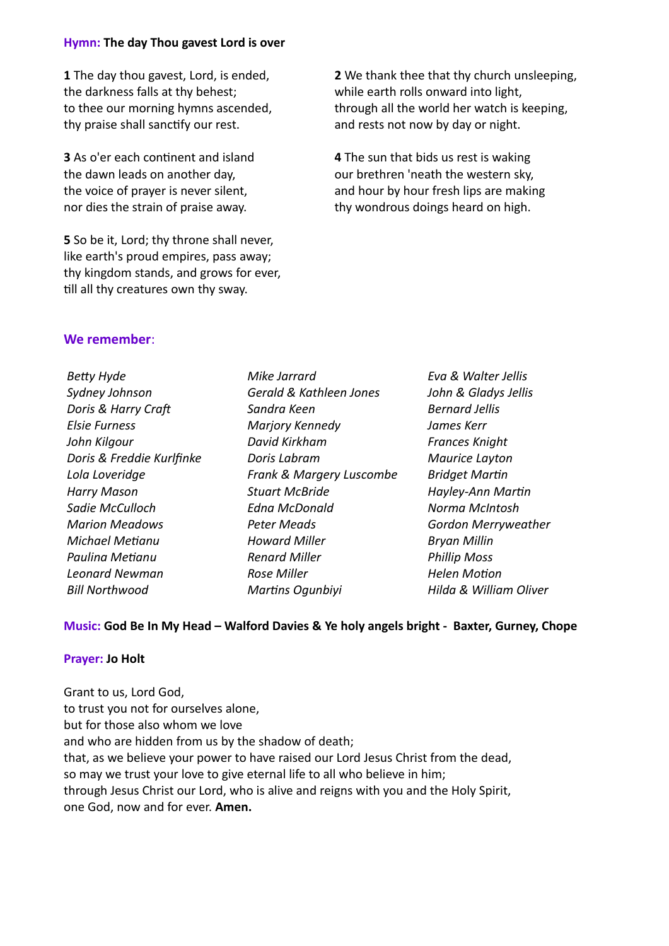#### **Hymn: The day Thou gavest Lord is over**

**1** The day thou gavest, Lord, is ended, the darkness falls at thy behest; to thee our morning hymns ascended, thy praise shall sanctify our rest.

**3** As o'er each continent and island the dawn leads on another day, the voice of prayer is never silent, nor dies the strain of praise away.

**5** So be it, Lord; thy throne shall never, like earth's proud empires, pass away; thy kingdom stands, and grows for ever, till all thy creatures own thy sway.

**2** We thank thee that thy church unsleeping, while earth rolls onward into light, through all the world her watch is keeping, and rests not now by day or night.

**4** The sun that bids us rest is waking our brethren 'neath the western sky, and hour by hour fresh lips are making thy wondrous doings heard on high.

# **We remember**:

| <b>Betty Hyde</b>         | Mike Jarrard             | Eva & Walter Jellis        |
|---------------------------|--------------------------|----------------------------|
| Sydney Johnson            | Gerald & Kathleen Jones  | John & Gladys Jellis       |
| Doris & Harry Craft       | Sandra Keen              | <b>Bernard Jellis</b>      |
| <b>Elsie Furness</b>      | Marjory Kennedy          | James Kerr                 |
| John Kilgour              | David Kirkham            | <b>Frances Knight</b>      |
| Doris & Freddie Kurlfinke | Doris Labram             | Maurice Layton             |
| Lola Loveridge            | Frank & Margery Luscombe | <b>Bridget Martin</b>      |
| <b>Harry Mason</b>        | <b>Stuart McBride</b>    | Hayley-Ann Martin          |
| Sadie McCulloch           | <b>Edna McDonald</b>     | Norma McIntosh             |
| <b>Marion Meadows</b>     | <b>Peter Meads</b>       | <b>Gordon Merryweather</b> |
| <b>Michael Metianu</b>    | <b>Howard Miller</b>     | <b>Bryan Millin</b>        |
| Paulina Metianu           | <b>Renard Miller</b>     | <b>Phillip Moss</b>        |
| <b>Leonard Newman</b>     | Rose Miller              | <b>Helen Motion</b>        |
| <b>Bill Northwood</b>     | <b>Martins Ogunbiyi</b>  | Hilda & William Oliver     |

# **Music: God Be In My Head – Walford Davies & Ye holy angels bright - Baxter, Gurney, Chope**

# **Prayer: Jo Holt**

Grant to us, Lord God, to trust you not for ourselves alone, but for those also whom we love and who are hidden from us by the shadow of death; that, as we believe your power to have raised our Lord Jesus Christ from the dead, so may we trust your love to give eternal life to all who believe in him; through Jesus Christ our Lord, who is alive and reigns with you and the Holy Spirit, one God, now and for ever. **Amen.**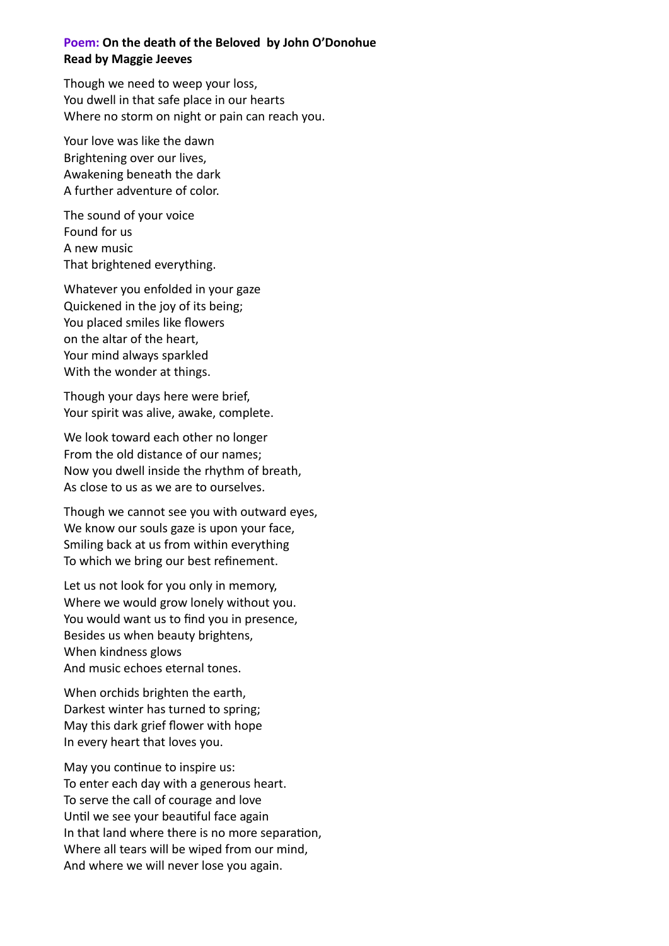# **Poem: On the death of the Beloved by John O'Donohue Read by Maggie Jeeves**

Though we need to weep your loss, You dwell in that safe place in our hearts Where no storm on night or pain can reach you.

Your love was like the dawn Brightening over our lives, Awakening beneath the dark A further adventure of color.

The sound of your voice Found for us A new music That brightened everything.

Whatever you enfolded in your gaze Quickened in the joy of its being; You placed smiles like flowers on the altar of the heart, Your mind always sparkled With the wonder at things.

Though your days here were brief, Your spirit was alive, awake, complete.

We look toward each other no longer From the old distance of our names; Now you dwell inside the rhythm of breath, As close to us as we are to ourselves.

Though we cannot see you with outward eyes, We know our souls gaze is upon your face, Smiling back at us from within everything To which we bring our best refinement.

Let us not look for you only in memory, Where we would grow lonely without you. You would want us to find you in presence, Besides us when beauty brightens, When kindness glows And music echoes eternal tones.

When orchids brighten the earth, Darkest winter has turned to spring; May this dark grief flower with hope In every heart that loves you.

May you continue to inspire us: To enter each day with a generous heart. To serve the call of courage and love Until we see your beautiful face again In that land where there is no more separation, Where all tears will be wiped from our mind, And where we will never lose you again.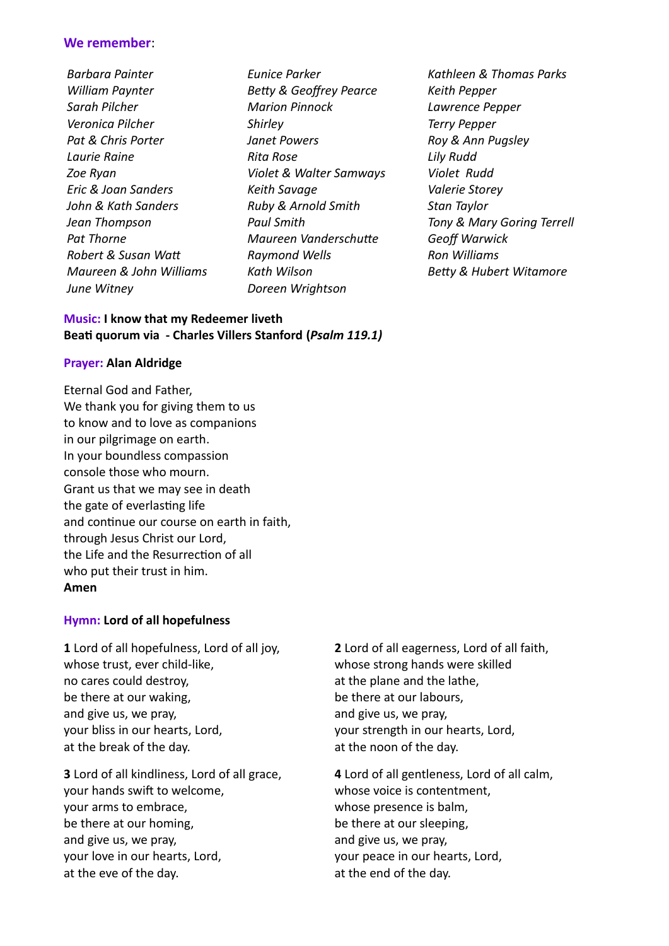# **We remember**:

*Barbara Painter William Paynter Sarah Pilcher Veronica Pilcher Pat & Chris Porter Laurie Raine Zoe Ryan Eric & Joan Sanders John & Kath Sanders Jean Thompson Pat Thorne Robert & Susan Watt Maureen & John Williams June Witney*

*Eunice Parker Betty & Geoffrey Pearce Marion Pinnock Shirley Janet Powers Rita Rose Violet & Walter Samways Keith Savage Ruby & Arnold Smith Paul Smith Maureen Vanderschutte Raymond Wells Kath Wilson Doreen Wrightson*

*Kathleen & Thomas Parks Keith Pepper Lawrence Pepper Terry Pepper Roy & Ann Pugsley Lily Rudd Violet Rudd Valerie Storey Stan Taylor Tony & Mary Goring Terrell Geoff Warwick Ron Williams Betty & Hubert Witamore*

# **Music: I know that my Redeemer liveth Beati quorum via - Charles Villers Stanford (***Psalm 119.1)*

# **Prayer: Alan Aldridge**

Eternal God and Father, We thank you for giving them to us to know and to love as companions in our pilgrimage on earth. In your boundless compassion console those who mourn. Grant us that we may see in death the gate of everlasting life and continue our course on earth in faith, through Jesus Christ our Lord, the Life and the Resurrection of all who put their trust in him. **Amen**

# **Hymn: Lord of all hopefulness**

**1** Lord of all hopefulness, Lord of all joy, whose trust, ever child-like, no cares could destroy, be there at our waking, and give us, we pray, your bliss in our hearts, Lord, at the break of the day.

**3** Lord of all kindliness, Lord of all grace, your hands swift to welcome, your arms to embrace, be there at our homing, and give us, we pray, your love in our hearts, Lord, at the eve of the day.

**2** Lord of all eagerness, Lord of all faith, whose strong hands were skilled at the plane and the lathe, be there at our labours, and give us, we pray, your strength in our hearts, Lord, at the noon of the day.

**4** Lord of all gentleness, Lord of all calm, whose voice is contentment, whose presence is balm, be there at our sleeping, and give us, we pray, your peace in our hearts, Lord, at the end of the day.